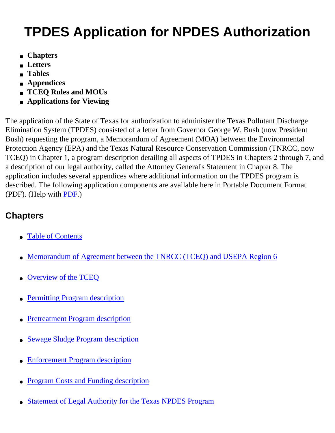# **TPDES Application for NPDES Authorization**

- **Chapters**
- **Letters**
- **Tables**
- **Appendices**
- **TCEQ Rules and MOUs**
- **Applications for Viewing**

The application of the State of Texas for authorization to administer the Texas Pollutant Discharge Elimination System (TPDES) consisted of a letter from Governor George W. Bush (now President Bush) requesting the program, a Memorandum of Agreement (MOA) between the Environmental Protection Agency (EPA) and the Texas Natural Resource Conservation Commission (TNRCC, now TCEQ) in Chapter 1, a program description detailing all aspects of TPDES in Chapters 2 through 7, and a description of our legal authority, called the Attorney General's Statement in Chapter 8. The application includes several appendices where additional information on the TPDES program is described. The following application components are available here in Portable Document Format (PDF). (Help with [PDF](http://www.tceq.texas.gov/help/site/help_pdf.html).)

## **Chapters**

- **[Table of Contents](http://www.tceq.texas.gov/assets/public/permitting/waterquality/attachments/municipal/ptoc.pdf)**
- [Memorandum of Agreement between the TNRCC \(TCEQ\) and USEPA Region 6](http://www.tceq.texas.gov/assets/public/permitting/waterquality/attachments/municipal/c1.pdf)
- [Overview of the TCEQ](http://www.tceq.texas.gov/assets/public/permitting/waterquality/attachments/municipal/c2fnl.pdf)
- **[Permitting Program description](http://www.tceq.texas.gov/assets/public/permitting/waterquality/attachments/municipal/c3fnl.pdf)**
- **[Pretreatment Program description](http://www.tceq.texas.gov/assets/public/permitting/waterquality/attachments/municipal/c4fnl.pdf)**
- **[Sewage Sludge Program description](http://www.tceq.texas.gov/assets/public/permitting/waterquality/attachments/municipal/c5fnl.pdf)**
- **[Enforcement Program description](http://www.tceq.texas.gov/assets/public/permitting/waterquality/attachments/municipal/c6fnl.pdf)**
- **[Program Costs and Funding description](http://www.tceq.texas.gov/assets/public/permitting/waterquality/attachments/municipal/c7fnl.pdf)**
- **[Statement of Legal Authority for the Texas NPDES Program](http://www.tceq.texas.gov/assets/public/permitting/waterquality/attachments/municipal/ag-sig~1.pdf)**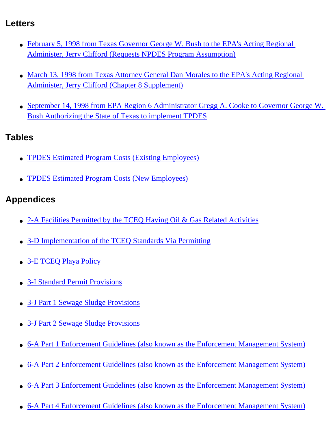#### **Letters**

- [February 5, 1998 from Texas Governor George W. Bush to the EPA's Acting Regional](http://www.tceq.texas.gov/assets/public/permitting/waterquality/attachments/municipal/bush.pdf) [Administer, Jerry Clifford \(Requests NPDES Program Assumption\)](http://www.tceq.texas.gov/assets/public/permitting/waterquality/attachments/municipal/bush.pdf)
- [March 13, 1998 from Texas Attorney General Dan Morales to the EPA's Acting Regional](http://www.tceq.texas.gov/assets/public/permitting/waterquality/attachments/municipal/agsupp~1.pdf) [Administer, Jerry Clifford \(Chapter 8 Supplement\)](http://www.tceq.texas.gov/assets/public/permitting/waterquality/attachments/municipal/agsupp~1.pdf)
- [September 14, 1998 from EPA Region 6 Administrator Gregg A. Cooke to Governor George W.](http://www.tceq.texas.gov/assets/public/permitting/waterquality/attachments/municipal/epa_ltr.pdf) [Bush Authorizing the State of Texas to implement TPDES](http://www.tceq.texas.gov/assets/public/permitting/waterquality/attachments/municipal/epa_ltr.pdf)

### **Tables**

- **[TPDES Estimated Program Costs \(Existing Employees\)](http://www.tceq.texas.gov/assets/public/permitting/waterquality/attachments/municipal/table1.pdf)**
- **TPDES** Estimated Program Costs (New Employees)

## **Appendices**

- [2-A Facilities Permitted by the TCEQ Having Oil & Gas Related Activities](http://www.tceq.texas.gov/assets/public/permitting/waterquality/attachments/municipal/a2a.pdf)
- [3-D Implementation of the TCEQ Standards Via Permitting](http://www.tceq.texas.gov/assets/public/permitting/waterquality/attachments/municipal/imp-p95.pdf)
- [3-E TCEQ Playa Policy](http://www.tceq.texas.gov/assets/public/permitting/waterquality/attachments/municipal/a3-e~1.pdf)
- [3-I Standard Permit Provisions](http://www.tceq.texas.gov/assets/public/permitting/waterquality/attachments/municipal/a3-i~1.pdf)
- [3-J Part 1 Sewage Sludge Provisions](http://www.tceq.texas.gov/assets/public/permitting/waterquality/attachments/municipal/a3j1~1.pdf)
- [3-J Part 2 Sewage Sludge Provisions](http://www.tceq.texas.gov/assets/public/permitting/waterquality/attachments/municipal/a3j2~1.pdf)
- [6-A Part 1 Enforcement Guidelines \(also known as the Enforcement Management System\)](http://www.tceq.texas.gov/assets/public/permitting/waterquality/attachments/municipal/a6a1~1.pdf)
- [6-A Part 2 Enforcement Guidelines \(also known as the Enforcement Management System\)](http://www.tceq.texas.gov/assets/public/permitting/waterquality/attachments/municipal/a6a2~1.pdf)
- [6-A Part 3 Enforcement Guidelines \(also known as the Enforcement Management System\)](http://www.tceq.texas.gov/assets/public/permitting/waterquality/attachments/municipal/a6a3~1.pdf)
- [6-A Part 4 Enforcement Guidelines \(also known as the Enforcement Management System\)](http://www.tceq.texas.gov/assets/public/permitting/waterquality/attachments/municipal/a6a4~1.pdf)